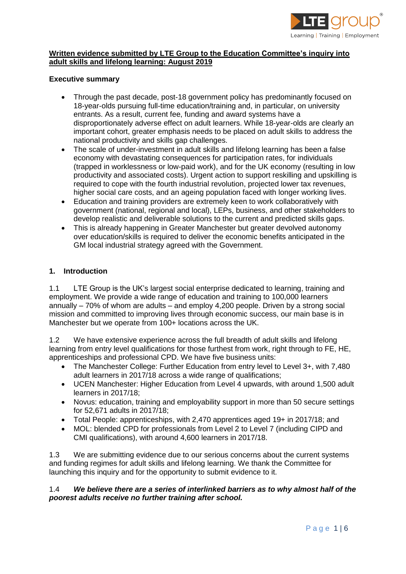

# **Written evidence submitted by LTE Group to the Education Committee's inquiry into adult skills and lifelong learning: August 2019**

#### **Executive summary**

- Through the past decade, post-18 government policy has predominantly focused on 18-year-olds pursuing full-time education/training and, in particular, on university entrants. As a result, current fee, funding and award systems have a disproportionately adverse effect on adult learners. While 18-year-olds are clearly an important cohort, greater emphasis needs to be placed on adult skills to address the national productivity and skills gap challenges.
- The scale of under-investment in adult skills and lifelong learning has been a false economy with devastating consequences for participation rates, for individuals (trapped in worklessness or low-paid work), and for the UK economy (resulting in low productivity and associated costs). Urgent action to support reskilling and upskilling is required to cope with the fourth industrial revolution, projected lower tax revenues, higher social care costs, and an ageing population faced with longer working lives.
- Education and training providers are extremely keen to work collaboratively with government (national, regional and local), LEPs, business, and other stakeholders to develop realistic and deliverable solutions to the current and predicted skills gaps.
- This is already happening in Greater Manchester but greater devolved autonomy over education/skills is required to deliver the economic benefits anticipated in the GM local industrial strategy agreed with the Government.

#### **1. Introduction**

1.1 LTE Group is the UK's largest social enterprise dedicated to learning, training and employment. We provide a wide range of education and training to 100,000 learners annually – 70% of whom are adults – and employ 4,200 people. Driven by a strong social mission and committed to improving lives through economic success, our main base is in Manchester but we operate from 100+ locations across the UK.

1.2 We have extensive experience across the full breadth of adult skills and lifelong learning from entry level qualifications for those furthest from work, right through to FE, HE, apprenticeships and professional CPD. We have five business units:

- The Manchester College: Further Education from entry level to Level 3+, with 7,480 adult learners in 2017/18 across a wide range of qualifications;
- UCEN Manchester: Higher Education from Level 4 upwards, with around 1,500 adult learners in 2017/18;
- Novus: education, training and employability support in more than 50 secure settings for 52,671 adults in 2017/18;
- Total People: apprenticeships, with 2,470 apprentices aged 19+ in 2017/18; and
- MOL: blended CPD for professionals from Level 2 to Level 7 (including CIPD and CMI qualifications), with around 4,600 learners in 2017/18.

1.3 We are submitting evidence due to our serious concerns about the current systems and funding regimes for adult skills and lifelong learning. We thank the Committee for launching this inquiry and for the opportunity to submit evidence to it.

#### 1.4 *We believe there are a series of interlinked barriers as to why almost half of the poorest adults receive no further training after school.*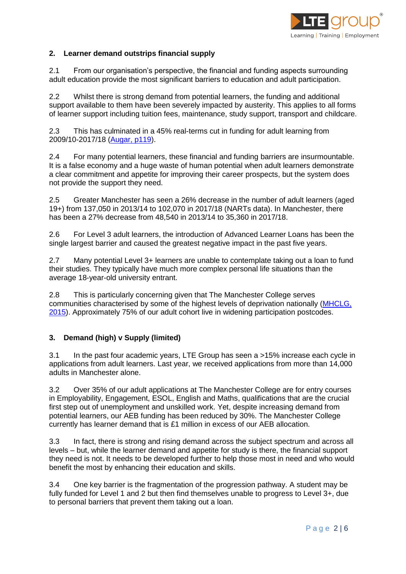

# **2. Learner demand outstrips financial supply**

2.1 From our organisation's perspective, the financial and funding aspects surrounding adult education provide the most significant barriers to education and adult participation.

2.2 Whilst there is strong demand from potential learners, the funding and additional support available to them have been severely impacted by austerity. This applies to all forms of learner support including tuition fees, maintenance, study support, transport and childcare.

2.3 This has culminated in a 45% real-terms cut in funding for adult learning from 2009/10-2017/18 [\(Augar, p119\)](https://www.gov.uk/government/publications/post-18-review-of-education-and-funding-independent-panel-report).

2.4 For many potential learners, these financial and funding barriers are insurmountable. It is a false economy and a huge waste of human potential when adult learners demonstrate a clear commitment and appetite for improving their career prospects, but the system does not provide the support they need.

2.5 Greater Manchester has seen a 26% decrease in the number of adult learners (aged 19+) from 137,050 in 2013/14 to 102,070 in 2017/18 (NARTs data). In Manchester, there has been a 27% decrease from 48,540 in 2013/14 to 35,360 in 2017/18.

2.6 For Level 3 adult learners, the introduction of Advanced Learner Loans has been the single largest barrier and caused the greatest negative impact in the past five years.

2.7 Many potential Level 3+ learners are unable to contemplate taking out a loan to fund their studies. They typically have much more complex personal life situations than the average 18-year-old university entrant.

2.8 This is particularly concerning given that The Manchester College serves communities characterised by some of the highest levels of deprivation nationally [\(MHCLG,](https://assets.publishing.service.gov.uk/government/uploads/system/uploads/attachment_data/file/465791/English_Indices_of_Deprivation_2015_-_Statistical_Release.pdf)  [2015\)](https://assets.publishing.service.gov.uk/government/uploads/system/uploads/attachment_data/file/465791/English_Indices_of_Deprivation_2015_-_Statistical_Release.pdf). Approximately 75% of our adult cohort live in widening participation postcodes.

#### **3. Demand (high) v Supply (limited)**

3.1 In the past four academic years, LTE Group has seen a >15% increase each cycle in applications from adult learners. Last year, we received applications from more than 14,000 adults in Manchester alone.

3.2 Over 35% of our adult applications at The Manchester College are for entry courses in Employability, Engagement, ESOL, English and Maths, qualifications that are the crucial first step out of unemployment and unskilled work. Yet, despite increasing demand from potential learners, our AEB funding has been reduced by 30%. The Manchester College currently has learner demand that is £1 million in excess of our AEB allocation.

3.3 In fact, there is strong and rising demand across the subject spectrum and across all levels – but, while the learner demand and appetite for study is there, the financial support they need is not. It needs to be developed further to help those most in need and who would benefit the most by enhancing their education and skills.

3.4 One key barrier is the fragmentation of the progression pathway. A student may be fully funded for Level 1 and 2 but then find themselves unable to progress to Level 3+, due to personal barriers that prevent them taking out a loan.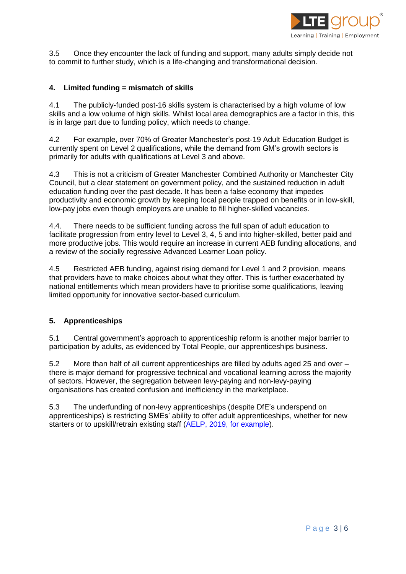

3.5 Once they encounter the lack of funding and support, many adults simply decide not to commit to further study, which is a life-changing and transformational decision.

## **4. Limited funding = mismatch of skills**

4.1 The publicly-funded post-16 skills system is characterised by a high volume of low skills and a low volume of high skills. Whilst local area demographics are a factor in this, this is in large part due to funding policy, which needs to change.

4.2 For example, over 70% of Greater Manchester's post-19 Adult Education Budget is currently spent on Level 2 qualifications, while the demand from GM's growth sectors is primarily for adults with qualifications at Level 3 and above.

4.3 This is not a criticism of Greater Manchester Combined Authority or Manchester City Council, but a clear statement on government policy, and the sustained reduction in adult education funding over the past decade. It has been a false economy that impedes productivity and economic growth by keeping local people trapped on benefits or in low-skill, low-pay jobs even though employers are unable to fill higher-skilled vacancies.

4.4. There needs to be sufficient funding across the full span of adult education to facilitate progression from entry level to Level 3, 4, 5 and into higher-skilled, better paid and more productive jobs. This would require an increase in current AEB funding allocations, and a review of the socially regressive Advanced Learner Loan policy.

4.5 Restricted AEB funding, against rising demand for Level 1 and 2 provision, means that providers have to make choices about what they offer. This is further exacerbated by national entitlements which mean providers have to prioritise some qualifications, leaving limited opportunity for innovative sector-based curriculum.

#### **5. Apprenticeships**

5.1 Central government's approach to apprenticeship reform is another major barrier to participation by adults, as evidenced by Total People, our apprenticeships business.

5.2 More than half of all current apprenticeships are filled by adults aged 25 and over – there is major demand for progressive technical and vocational learning across the majority of sectors. However, the segregation between levy-paying and non-levy-paying organisations has created confusion and inefficiency in the marketplace.

5.3 The underfunding of non-levy apprenticeships (despite DfE's underspend on apprenticeships) is restricting SMEs' ability to offer adult apprenticeships, whether for new starters or to upskill/retrain existing staff [\(AELP, 2019, for example\)](https://www.aelp.org.uk/news/news/press-releases/levy-shortage-starving-small-firms-of-apprenticeships-poses-early-test-for-johnson-campaign-pledge/).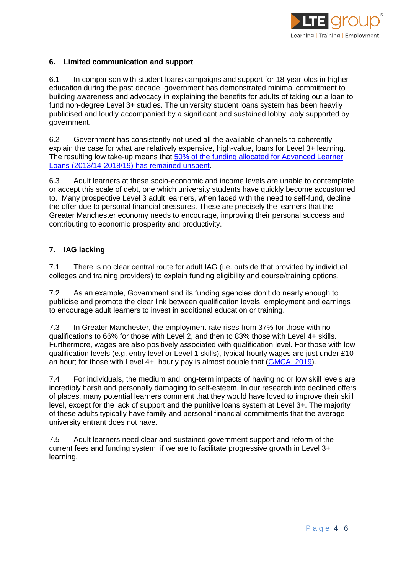

# **6. Limited communication and support**

6.1 In comparison with student loans campaigns and support for 18-year-olds in higher education during the past decade, government has demonstrated minimal commitment to building awareness and advocacy in explaining the benefits for adults of taking out a loan to fund non-degree Level 3+ studies. The university student loans system has been heavily publicised and loudly accompanied by a significant and sustained lobby, ably supported by government.

6.2 Government has consistently not used all the available channels to coherently explain the case for what are relatively expensive, high-value, loans for Level 3+ learning. The resulting low take-up means that [50% of the funding allocated for Advanced Learner](https://www.parliament.uk/business/publications/written-questions-answers-statements/written-question/Commons/2018-10-23/182695/)  [Loans \(2013/14-2018/19\) has remained unspent.](https://www.parliament.uk/business/publications/written-questions-answers-statements/written-question/Commons/2018-10-23/182695/)

6.3 Adult learners at these socio-economic and income levels are unable to contemplate or accept this scale of debt, one which university students have quickly become accustomed to. Many prospective Level 3 adult learners, when faced with the need to self-fund, decline the offer due to personal financial pressures. These are precisely the learners that the Greater Manchester economy needs to encourage, improving their personal success and contributing to economic prosperity and productivity.

# **7. IAG lacking**

7.1 There is no clear central route for adult IAG (i.e. outside that provided by individual colleges and training providers) to explain funding eligibility and course/training options.

7.2 As an example, Government and its funding agencies don't do nearly enough to publicise and promote the clear link between qualification levels, employment and earnings to encourage adult learners to invest in additional education or training.

7.3 In Greater Manchester, the employment rate rises from 37% for those with no qualifications to 66% for those with Level 2, and then to 83% those with Level 4+ skills. Furthermore, wages are also positively associated with qualification level. For those with low qualification levels (e.g. entry level or Level 1 skills), typical hourly wages are just under £10 an hour; for those with Level 4+, hourly pay is almost double that [\(GMCA, 2019\)](https://www.greatermanchester-ca.gov.uk/media/1092/gm_work_and_skills_strategy_and_priorities_2016_to_2019__7_.pdf).

7.4 For individuals, the medium and long-term impacts of having no or low skill levels are incredibly harsh and personally damaging to self-esteem. In our research into declined offers of places, many potential learners comment that they would have loved to improve their skill level, except for the lack of support and the punitive loans system at Level 3+. The majority of these adults typically have family and personal financial commitments that the average university entrant does not have.

7.5 Adult learners need clear and sustained government support and reform of the current fees and funding system, if we are to facilitate progressive growth in Level 3+ learning.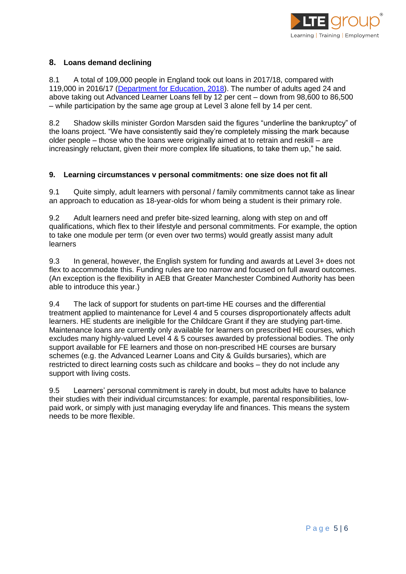

# **8. Loans demand declining**

8.1 A total of 109,000 people in England took out loans in 2017/18, compared with 119,000 in 2016/17 [\(Department for Education, 2018\)](https://assets.publishing.service.gov.uk/government/uploads/system/uploads/attachment_data/file/761342/201718_FE_and_Skills_Advanced_Learning_Loans_Level_3__FINAL.xlsx). The number of adults aged 24 and above taking out Advanced Learner Loans fell by 12 per cent – down from 98,600 to 86,500 – while participation by the same age group at Level 3 alone fell by 14 per cent.

8.2 Shadow skills minister Gordon Marsden said the figures "underline the bankruptcy" of the loans project. "We have consistently said they're completely missing the mark because older people – those who the loans were originally aimed at to retrain and reskill – are increasingly reluctant, given their more complex life situations, to take them up," he said.

#### **9. Learning circumstances v personal commitments: one size does not fit all**

9.1 Quite simply, adult learners with personal / family commitments cannot take as linear an approach to education as 18-year-olds for whom being a student is their primary role.

9.2 Adult learners need and prefer bite-sized learning, along with step on and off qualifications, which flex to their lifestyle and personal commitments. For example, the option to take one module per term (or even over two terms) would greatly assist many adult learners

9.3 In general, however, the English system for funding and awards at Level 3+ does not flex to accommodate this. Funding rules are too narrow and focused on full award outcomes. (An exception is the flexibility in AEB that Greater Manchester Combined Authority has been able to introduce this year.)

9.4 The lack of support for students on part-time HE courses and the differential treatment applied to maintenance for Level 4 and 5 courses disproportionately affects adult learners. HE students are ineligible for the Childcare Grant if they are studying part-time. Maintenance loans are currently only available for learners on prescribed HE courses, which excludes many highly-valued Level 4 & 5 courses awarded by professional bodies. The only support available for FE learners and those on non-prescribed HE courses are bursary schemes (e.g. the Advanced Learner Loans and City & Guilds bursaries), which are restricted to direct learning costs such as childcare and books – they do not include any support with living costs.

9.5 Learners' personal commitment is rarely in doubt, but most adults have to balance their studies with their individual circumstances: for example, parental responsibilities, lowpaid work, or simply with just managing everyday life and finances. This means the system needs to be more flexible.